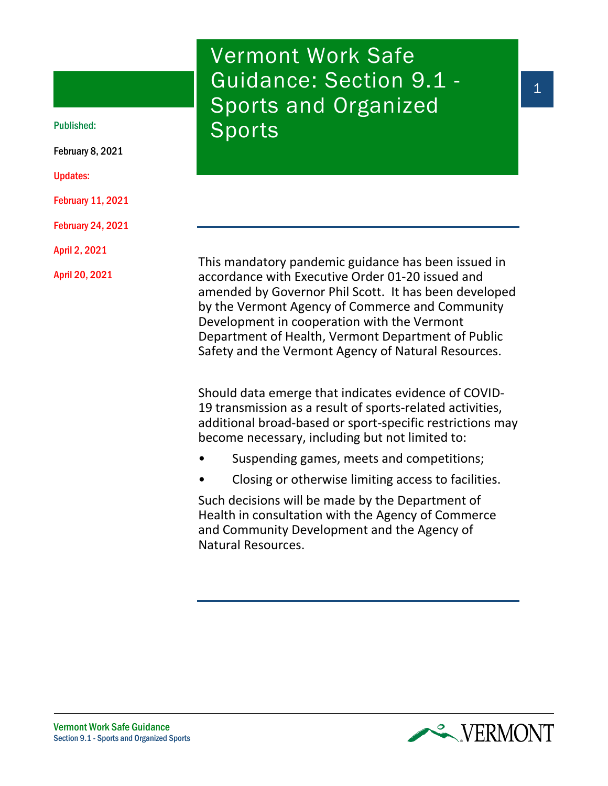# Vermont Work Safe Guidance: Section 9.1 - Sports and Organized Published: Sports

This mandatory pandemic guidance has been issued in accordance with Executive Order 01-20 issued and amended by Governor Phil Scott. It has been developed by the Vermont Agency of Commerce and Community Development in cooperation with the Vermont Department of Health, Vermont Department of Public Safety and the Vermont Agency of Natural Resources.

Should data emerge that indicates evidence of COVID-19 transmission as a result of sports-related activities, additional broad-based or sport-specific restrictions may become necessary, including but not limited to:

- Suspending games, meets and competitions;
- Closing or otherwise limiting access to facilities.

Such decisions will be made by the Department of Health in consultation with the Agency of Commerce and Community Development and the Agency of Natural Resources.



February 8, 2021

Updates:

February 11, 2021

February 24, 2021

April 2, 2021

April 20, 2021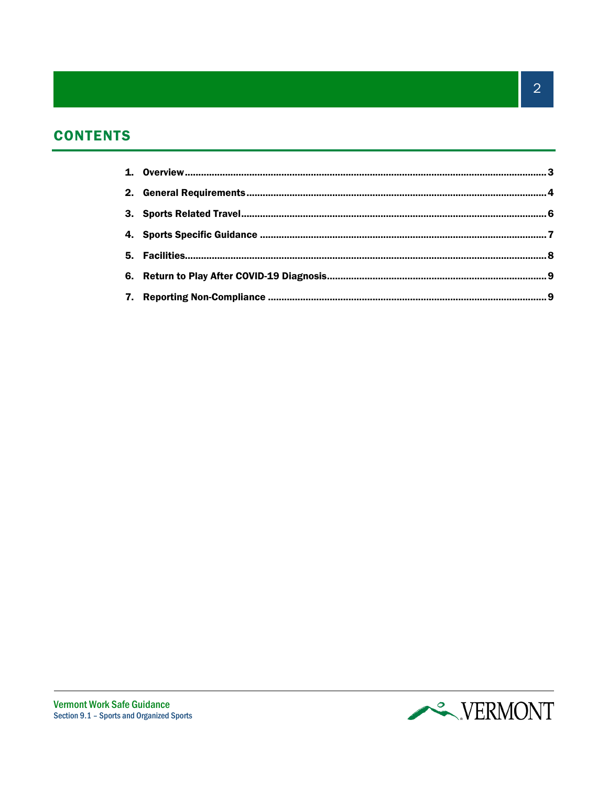# **CONTENTS**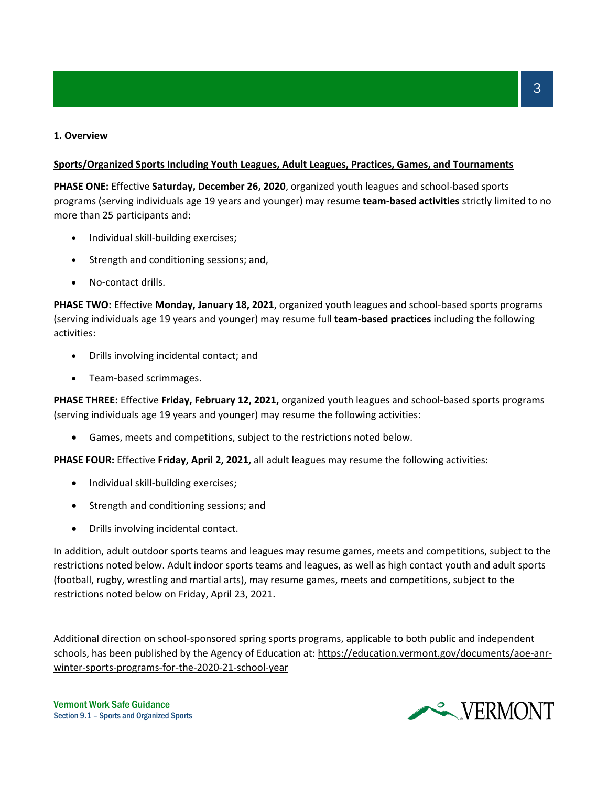# **1. Overview**

# **Sports/Organized Sports Including Youth Leagues, Adult Leagues, Practices, Games, and Tournaments**

**PHASE ONE:** Effective **Saturday, December 26, 2020**, organized youth leagues and school-based sports programs (serving individuals age 19 years and younger) may resume **team-based activities** strictly limited to no more than 25 participants and:

- Individual skill-building exercises;
- Strength and conditioning sessions; and,
- No-contact drills.

**PHASE TWO:** Effective **Monday, January 18, 2021**, organized youth leagues and school-based sports programs (serving individuals age 19 years and younger) may resume full **team-based practices** including the following activities:

- Drills involving incidental contact; and
- Team-based scrimmages.

**PHASE THREE:** Effective **Friday, February 12, 2021,** organized youth leagues and school-based sports programs (serving individuals age 19 years and younger) may resume the following activities:

• Games, meets and competitions, subject to the restrictions noted below.

**PHASE FOUR:** Effective **Friday, April 2, 2021,** all adult leagues may resume the following activities:

- Individual skill-building exercises;
- Strength and conditioning sessions; and
- Drills involving incidental contact.

In addition, adult outdoor sports teams and leagues may resume games, meets and competitions, subject to the restrictions noted below. Adult indoor sports teams and leagues, as well as high contact youth and adult sports (football, rugby, wrestling and martial arts), may resume games, meets and competitions, subject to the restrictions noted below on Friday, April 23, 2021.

Additional direction on school-sponsored spring sports programs, applicable to both public and independent schools, has been published by the Agency of Education at: [https://education.vermont.gov/documents/aoe-anr](https://education.vermont.gov/documents/aoe-anr-winter-sports-programs-for-the-2020-21-school-year)[winter-sports-programs-for-the-2020-21-school-year](https://education.vermont.gov/documents/aoe-anr-winter-sports-programs-for-the-2020-21-school-year)

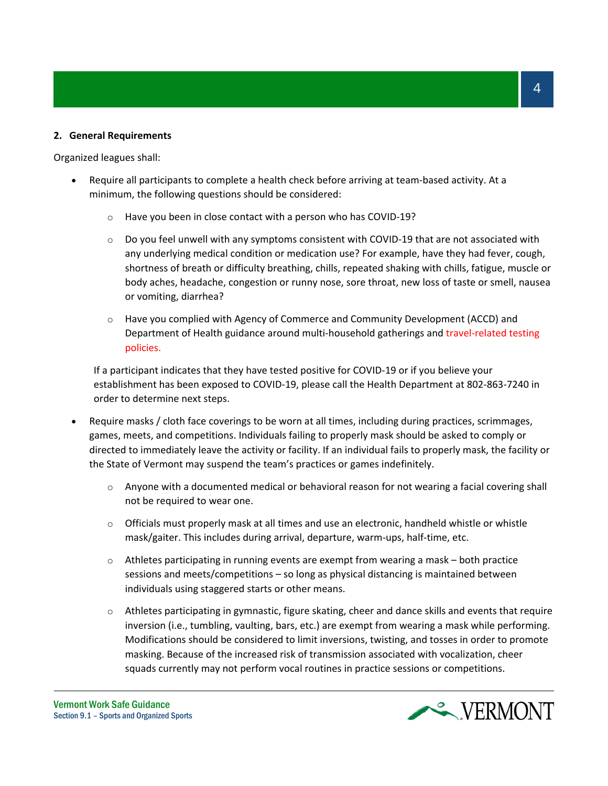# **2. General Requirements**

Organized leagues shall:

- Require all participants to complete a health check before arriving at team-based activity. At a minimum, the following questions should be considered:
	- o Have you been in close contact with a person who has COVID-19?
	- $\circ$  Do you feel unwell with any symptoms consistent with COVID-19 that are not associated with any underlying medical condition or medication use? For example, have they had fever, cough, shortness of breath or difficulty breathing, chills, repeated shaking with chills, fatigue, muscle or body aches, headache, congestion or runny nose, sore throat, new loss of taste or smell, nausea or vomiting, diarrhea?
	- $\circ$  Have you complied with Agency of Commerce and Community Development (ACCD) and Department of Health guidance around multi-household gatherings and travel-related testing policies.

If a participant indicates that they have tested positive for COVID-19 or if you believe your establishment has been exposed to COVID-19, please call the Health Department at 802-863-7240 in order to determine next steps.

- Require masks / cloth face coverings to be worn at all times, including during practices, scrimmages, games, meets, and competitions. Individuals failing to properly mask should be asked to comply or directed to immediately leave the activity or facility. If an individual fails to properly mask, the facility or the State of Vermont may suspend the team's practices or games indefinitely.
	- $\circ$  Anyone with a documented medical or behavioral reason for not wearing a facial covering shall not be required to wear one.
	- $\circ$  Officials must properly mask at all times and use an electronic, handheld whistle or whistle mask/gaiter. This includes during arrival, departure, warm-ups, half-time, etc.
	- $\circ$  Athletes participating in running events are exempt from wearing a mask both practice sessions and meets/competitions – so long as physical distancing is maintained between individuals using staggered starts or other means.
	- o Athletes participating in gymnastic, figure skating, cheer and dance skills and events that require inversion (i.e., tumbling, vaulting, bars, etc.) are exempt from wearing a mask while performing. Modifications should be considered to limit inversions, twisting, and tosses in order to promote masking. Because of the increased risk of transmission associated with vocalization, cheer squads currently may not perform vocal routines in practice sessions or competitions.

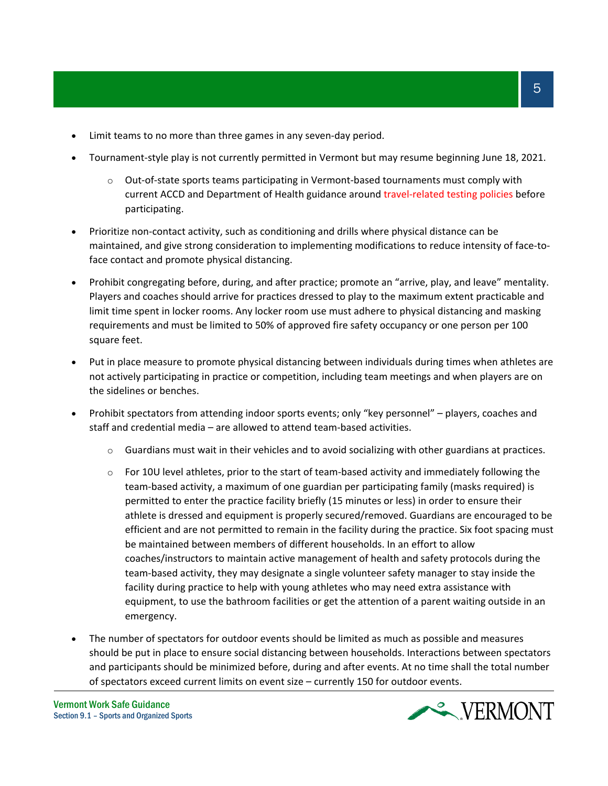- Limit teams to no more than three games in any seven-day period.
- Tournament-style play is not currently permitted in Vermont but may resume beginning June 18, 2021.
	- o Out-of-state sports teams participating in Vermont-based tournaments must comply with current ACCD and Department of Health guidance around travel-related testing policies before participating.
- Prioritize non-contact activity, such as conditioning and drills where physical distance can be maintained, and give strong consideration to implementing modifications to reduce intensity of face-toface contact and promote physical distancing.
- Prohibit congregating before, during, and after practice; promote an "arrive, play, and leave" mentality. Players and coaches should arrive for practices dressed to play to the maximum extent practicable and limit time spent in locker rooms. Any locker room use must adhere to physical distancing and masking requirements and must be limited to 50% of approved fire safety occupancy or one person per 100 square feet.
- Put in place measure to promote physical distancing between individuals during times when athletes are not actively participating in practice or competition, including team meetings and when players are on the sidelines or benches.
- Prohibit spectators from attending indoor sports events; only "key personnel" players, coaches and staff and credential media – are allowed to attend team-based activities.
	- $\circ$  Guardians must wait in their vehicles and to avoid socializing with other guardians at practices.
	- $\circ$  For 10U level athletes, prior to the start of team-based activity and immediately following the team-based activity, a maximum of one guardian per participating family (masks required) is permitted to enter the practice facility briefly (15 minutes or less) in order to ensure their athlete is dressed and equipment is properly secured/removed. Guardians are encouraged to be efficient and are not permitted to remain in the facility during the practice. Six foot spacing must be maintained between members of different households. In an effort to allow coaches/instructors to maintain active management of health and safety protocols during the team-based activity, they may designate a single volunteer safety manager to stay inside the facility during practice to help with young athletes who may need extra assistance with equipment, to use the bathroom facilities or get the attention of a parent waiting outside in an emergency.
- The number of spectators for outdoor events should be limited as much as possible and measures should be put in place to ensure social distancing between households. Interactions between spectators and participants should be minimized before, during and after events. At no time shall the total number of spectators exceed current limits on event size – currently 150 for outdoor events.

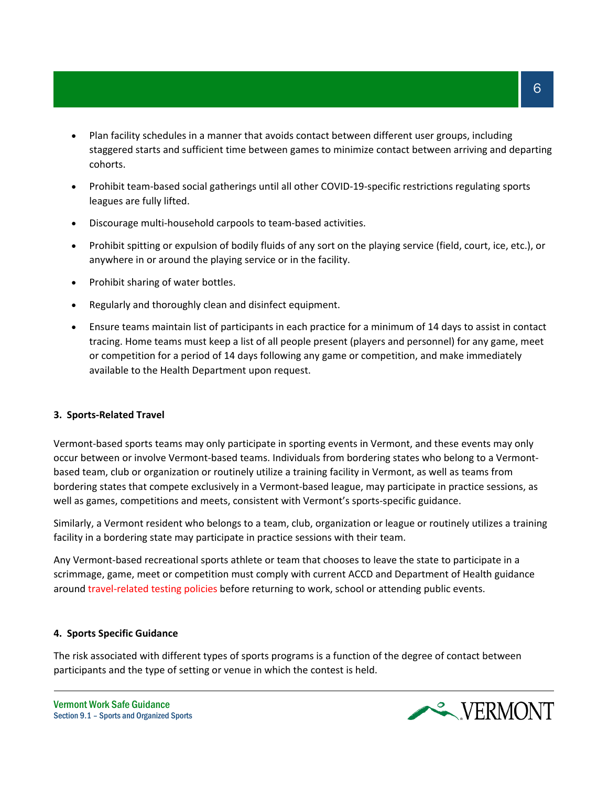- Plan facility schedules in a manner that avoids contact between different user groups, including staggered starts and sufficient time between games to minimize contact between arriving and departing cohorts.
- Prohibit team-based social gatherings until all other COVID-19-specific restrictions regulating sports leagues are fully lifted.
- Discourage multi-household carpools to team-based activities.
- Prohibit spitting or expulsion of bodily fluids of any sort on the playing service (field, court, ice, etc.), or anywhere in or around the playing service or in the facility.
- Prohibit sharing of water bottles.
- Regularly and thoroughly clean and disinfect equipment.
- Ensure teams maintain list of participants in each practice for a minimum of 14 days to assist in contact tracing. Home teams must keep a list of all people present (players and personnel) for any game, meet or competition for a period of 14 days following any game or competition, and make immediately available to the Health Department upon request.

#### **3. Sports-Related Travel**

Vermont-based sports teams may only participate in sporting events in Vermont, and these events may only occur between or involve Vermont-based teams. Individuals from bordering states who belong to a Vermontbased team, club or organization or routinely utilize a training facility in Vermont, as well as teams from bordering states that compete exclusively in a Vermont-based league, may participate in practice sessions, as well as games, competitions and meets, consistent with Vermont's sports-specific guidance.

Similarly, a Vermont resident who belongs to a team, club, organization or league or routinely utilizes a training facility in a bordering state may participate in practice sessions with their team.

Any Vermont-based recreational sports athlete or team that chooses to leave the state to participate in a scrimmage, game, meet or competition must comply with current ACCD and Department of Health guidance around travel-related testing policies before returning to work, school or attending public events.

#### **4. Sports Specific Guidance**

The risk associated with different types of sports programs is a function of the degree of contact between participants and the type of setting or venue in which the contest is held.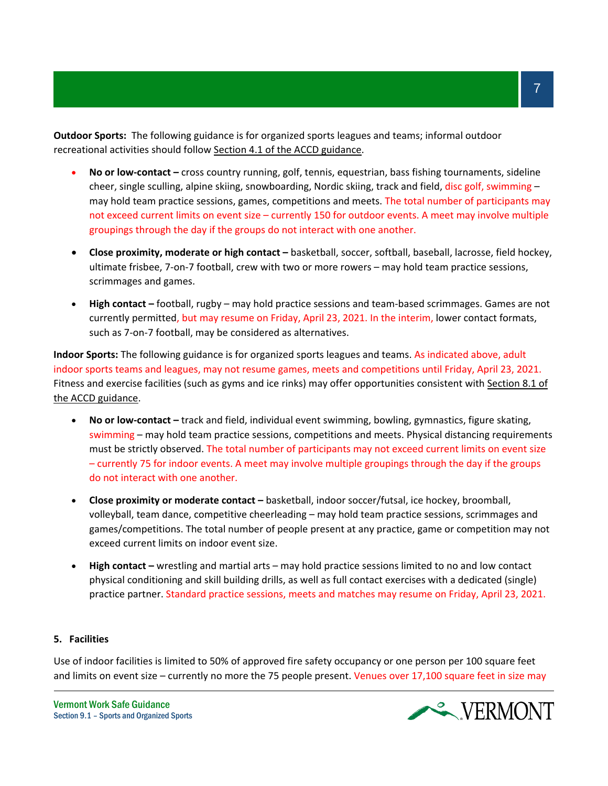**Outdoor Sports:** The following guidance is for organized sports leagues and teams; informal outdoor recreational activities should follow [Section 4.1 of the ACCD guidance.](https://accd.vermont.gov/news/update-new-work-safe-additions-be-smart-stay-safe-order#outdoor-recreation-and-fitness)

- **No or low-contact –** cross country running, golf, tennis, equestrian, bass fishing tournaments, sideline cheer, single sculling, alpine skiing, snowboarding, Nordic skiing, track and field, disc golf, swimming may hold team practice sessions, games, competitions and meets. The total number of participants may not exceed current limits on event size – currently 150 for outdoor events. A meet may involve multiple groupings through the day if the groups do not interact with one another.
- **Close proximity, moderate or high contact –** basketball, soccer, softball, baseball, lacrosse, field hockey, ultimate frisbee, 7-on-7 football, crew with two or more rowers – may hold team practice sessions, scrimmages and games.
- **High contact –** football, rugby may hold practice sessions and team-based scrimmages. Games are not currently permitted, but may resume on Friday, April 23, 2021. In the interim, lower contact formats, such as 7-on-7 football, may be considered as alternatives.

**Indoor Sports:** The following guidance is for organized sports leagues and teams. As indicated above, adult indoor sports teams and leagues, may not resume games, meets and competitions until Friday, April 23, 2021. Fitness and exercise facilities (such as gyms and ice rinks) may offer opportunities consistent with Section 8.1 of [the ACCD guidance.](https://accd.vermont.gov/news/update-new-work-safe-additions-be-smart-stay-safe-order#close-contact-business)

- **No or low-contact –** track and field, individual event swimming, bowling, gymnastics, figure skating, swimming – may hold team practice sessions, competitions and meets. Physical distancing requirements must be strictly observed. The total number of participants may not exceed current limits on event size – currently 75 for indoor events. A meet may involve multiple groupings through the day if the groups do not interact with one another.
- **Close proximity or moderate contact –** basketball, indoor soccer/futsal, ice hockey, broomball, volleyball, team dance, competitive cheerleading – may hold team practice sessions, scrimmages and games/competitions. The total number of people present at any practice, game or competition may not exceed current limits on indoor event size.
- **High contact –** wrestling and martial arts may hold practice sessions limited to no and low contact physical conditioning and skill building drills, as well as full contact exercises with a dedicated (single) practice partner. Standard practice sessions, meets and matches may resume on Friday, April 23, 2021.

#### **5. Facilities**

Use of indoor facilities is limited to 50% of approved fire safety occupancy or one person per 100 square feet and limits on event size – currently no more the 75 people present. Venues over 17,100 square feet in size may

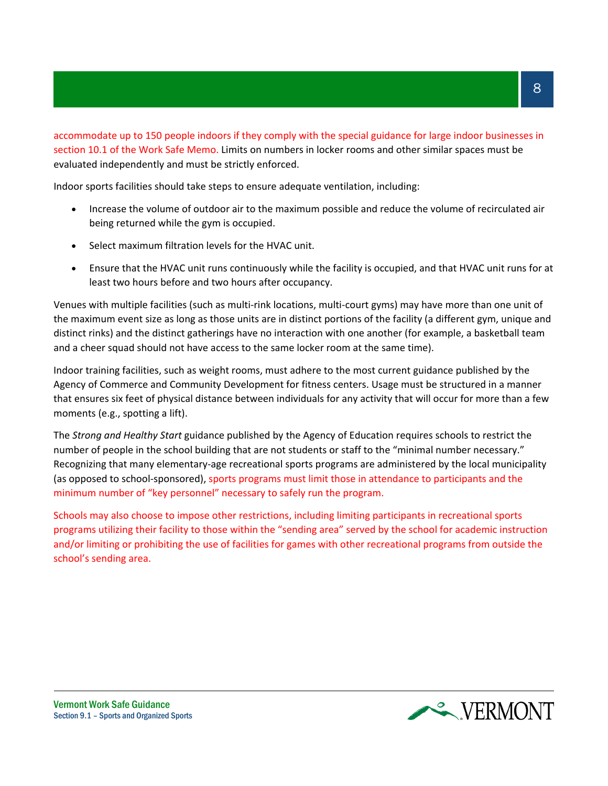accommodate up to 150 people indoors if they comply with the special guidance for large indoor businesses in section 10.1 of the Work Safe Memo. Limits on numbers in locker rooms and other similar spaces must be evaluated independently and must be strictly enforced.

Indoor sports facilities should take steps to ensure adequate ventilation, including:

- Increase the volume of outdoor air to the maximum possible and reduce the volume of recirculated air being returned while the gym is occupied.
- Select maximum filtration levels for the HVAC unit.
- Ensure that the HVAC unit runs continuously while the facility is occupied, and that HVAC unit runs for at least two hours before and two hours after occupancy.

Venues with multiple facilities (such as multi-rink locations, multi-court gyms) may have more than one unit of the maximum event size as long as those units are in distinct portions of the facility (a different gym, unique and distinct rinks) and the distinct gatherings have no interaction with one another (for example, a basketball team and a cheer squad should not have access to the same locker room at the same time).

Indoor training facilities, such as weight rooms, must adhere to the most current guidance published by the Agency of Commerce and Community Development for fitness centers. Usage must be structured in a manner that ensures six feet of physical distance between individuals for any activity that will occur for more than a few moments (e.g., spotting a lift).

The *Strong and Healthy Start* guidance published by the Agency of Education requires schools to restrict the number of people in the school building that are not students or staff to the "minimal number necessary." Recognizing that many elementary-age recreational sports programs are administered by the local municipality (as opposed to school-sponsored), sports programs must limit those in attendance to participants and the minimum number of "key personnel" necessary to safely run the program.

Schools may also choose to impose other restrictions, including limiting participants in recreational sports programs utilizing their facility to those within the "sending area" served by the school for academic instruction and/or limiting or prohibiting the use of facilities for games with other recreational programs from outside the school's sending area.